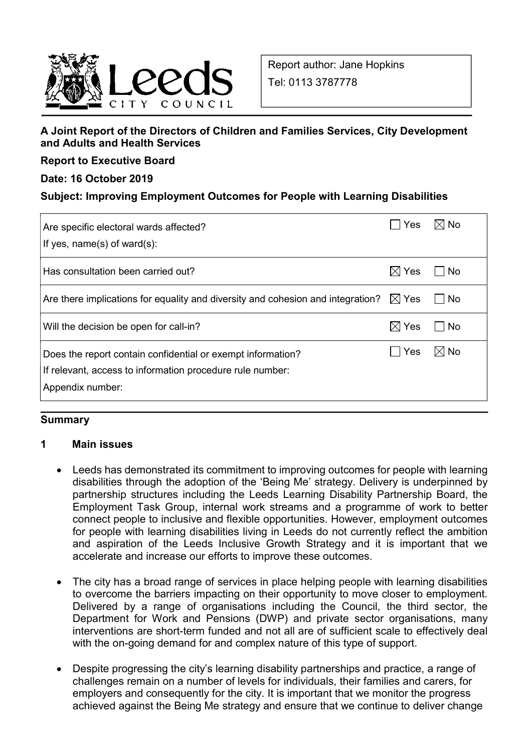

### A Joint Report of the Directors of Children and Families Services, City Development and Adults and Health Services

Report to Executive Board

### Date: 16 October 2019

### Subject: Improving Employment Outcomes for People with Learning Disabilities

| Are specific electoral wards affected?<br>If yes, $name(s)$ of ward $(s)$ :                                                                  | Yes             | l⊠ No              |
|----------------------------------------------------------------------------------------------------------------------------------------------|-----------------|--------------------|
| Has consultation been carried out?                                                                                                           | $\boxtimes$ Yes | – I No             |
| Are there implications for equality and diversity and cohesion and integration? $\boxtimes$ Yes                                              |                 | $\vert$ $\vert$ No |
| Will the decision be open for call-in?                                                                                                       | $\boxtimes$ Yes | – I No             |
| Does the report contain confidential or exempt information?<br>If relevant, access to information procedure rule number:<br>Appendix number: | Yes             | $\boxtimes$ No     |

#### **Summary**

#### 1 Main issues

- Leeds has demonstrated its commitment to improving outcomes for people with learning disabilities through the adoption of the 'Being Me' strategy. Delivery is underpinned by partnership structures including the Leeds Learning Disability Partnership Board, the Employment Task Group, internal work streams and a programme of work to better connect people to inclusive and flexible opportunities. However, employment outcomes for people with learning disabilities living in Leeds do not currently reflect the ambition and aspiration of the Leeds Inclusive Growth Strategy and it is important that we accelerate and increase our efforts to improve these outcomes.
- The city has a broad range of services in place helping people with learning disabilities to overcome the barriers impacting on their opportunity to move closer to employment. Delivered by a range of organisations including the Council, the third sector, the Department for Work and Pensions (DWP) and private sector organisations, many interventions are short-term funded and not all are of sufficient scale to effectively deal with the on-going demand for and complex nature of this type of support.
- Despite progressing the city's learning disability partnerships and practice, a range of challenges remain on a number of levels for individuals, their families and carers, for employers and consequently for the city. It is important that we monitor the progress achieved against the Being Me strategy and ensure that we continue to deliver change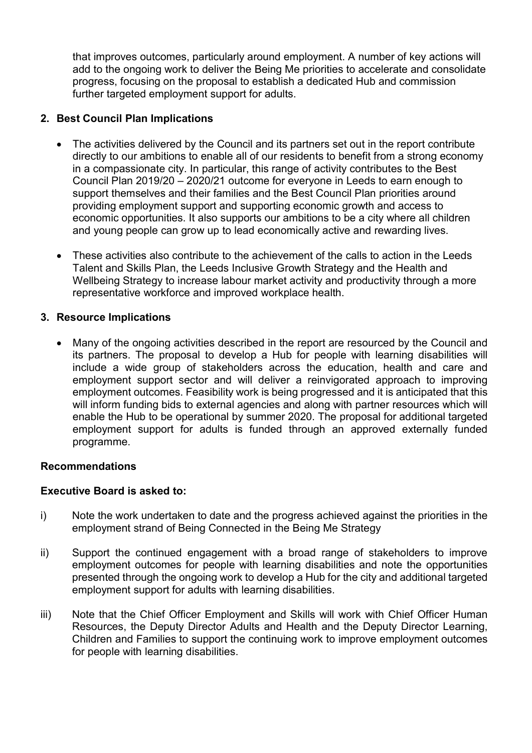that improves outcomes, particularly around employment. A number of key actions will add to the ongoing work to deliver the Being Me priorities to accelerate and consolidate progress, focusing on the proposal to establish a dedicated Hub and commission further targeted employment support for adults.

### 2. Best Council Plan Implications

- The activities delivered by the Council and its partners set out in the report contribute directly to our ambitions to enable all of our residents to benefit from a strong economy in a compassionate city. In particular, this range of activity contributes to the Best Council Plan 2019/20 – 2020/21 outcome for everyone in Leeds to earn enough to support themselves and their families and the Best Council Plan priorities around providing employment support and supporting economic growth and access to economic opportunities. It also supports our ambitions to be a city where all children and young people can grow up to lead economically active and rewarding lives.
- These activities also contribute to the achievement of the calls to action in the Leeds Talent and Skills Plan, the Leeds Inclusive Growth Strategy and the Health and Wellbeing Strategy to increase labour market activity and productivity through a more representative workforce and improved workplace health.

#### 3. Resource Implications

 Many of the ongoing activities described in the report are resourced by the Council and its partners. The proposal to develop a Hub for people with learning disabilities will include a wide group of stakeholders across the education, health and care and employment support sector and will deliver a reinvigorated approach to improving employment outcomes. Feasibility work is being progressed and it is anticipated that this will inform funding bids to external agencies and along with partner resources which will enable the Hub to be operational by summer 2020. The proposal for additional targeted employment support for adults is funded through an approved externally funded programme.

#### Recommendations

#### Executive Board is asked to:

- i) Note the work undertaken to date and the progress achieved against the priorities in the employment strand of Being Connected in the Being Me Strategy
- ii) Support the continued engagement with a broad range of stakeholders to improve employment outcomes for people with learning disabilities and note the opportunities presented through the ongoing work to develop a Hub for the city and additional targeted employment support for adults with learning disabilities.
- iii) Note that the Chief Officer Employment and Skills will work with Chief Officer Human Resources, the Deputy Director Adults and Health and the Deputy Director Learning, Children and Families to support the continuing work to improve employment outcomes for people with learning disabilities.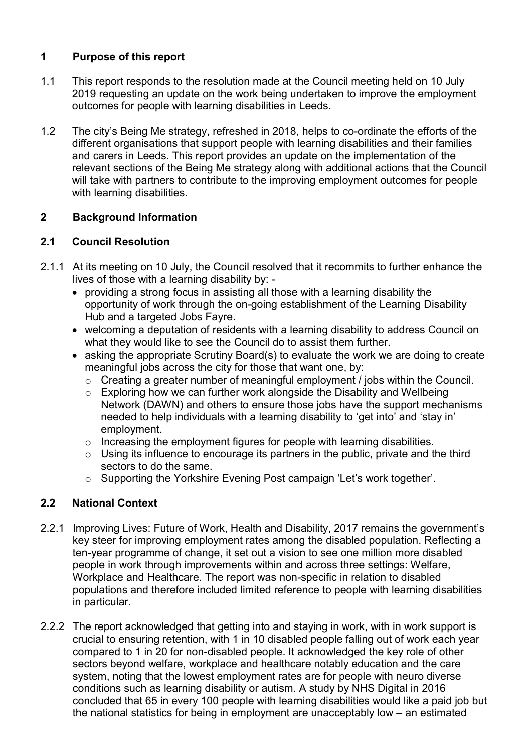# 1 Purpose of this report

- 1.1 This report responds to the resolution made at the Council meeting held on 10 July 2019 requesting an update on the work being undertaken to improve the employment outcomes for people with learning disabilities in Leeds.
- 1.2 The city's Being Me strategy, refreshed in 2018, helps to co-ordinate the efforts of the different organisations that support people with learning disabilities and their families and carers in Leeds. This report provides an update on the implementation of the relevant sections of the Being Me strategy along with additional actions that the Council will take with partners to contribute to the improving employment outcomes for people with learning disabilities.

## 2 Background Information

### 2.1 Council Resolution

- 2.1.1 At its meeting on 10 July, the Council resolved that it recommits to further enhance the lives of those with a learning disability by:
	- providing a strong focus in assisting all those with a learning disability the opportunity of work through the on-going establishment of the Learning Disability Hub and a targeted Jobs Fayre.
	- welcoming a deputation of residents with a learning disability to address Council on what they would like to see the Council do to assist them further.
	- asking the appropriate Scrutiny Board(s) to evaluate the work we are doing to create meaningful jobs across the city for those that want one, by:
		- $\circ$  Creating a greater number of meaningful employment / jobs within the Council.
		- o Exploring how we can further work alongside the Disability and Wellbeing Network (DAWN) and others to ensure those jobs have the support mechanisms needed to help individuals with a learning disability to 'get into' and 'stay in' employment.
		- $\circ$  Increasing the employment figures for people with learning disabilities.
		- $\circ$  Using its influence to encourage its partners in the public, private and the third sectors to do the same.
		- o Supporting the Yorkshire Evening Post campaign 'Let's work together'.

# 2.2 National Context

- 2.2.1 Improving Lives: Future of Work, Health and Disability, 2017 remains the government's key steer for improving employment rates among the disabled population. Reflecting a ten-year programme of change, it set out a vision to see one million more disabled people in work through improvements within and across three settings: Welfare, Workplace and Healthcare. The report was non-specific in relation to disabled populations and therefore included limited reference to people with learning disabilities in particular.
- 2.2.2 The report acknowledged that getting into and staying in work, with in work support is crucial to ensuring retention, with 1 in 10 disabled people falling out of work each year compared to 1 in 20 for non-disabled people. It acknowledged the key role of other sectors beyond welfare, workplace and healthcare notably education and the care system, noting that the lowest employment rates are for people with neuro diverse conditions such as learning disability or autism. A study by NHS Digital in 2016 concluded that 65 in every 100 people with learning disabilities would like a paid job but the national statistics for being in employment are unacceptably low – an estimated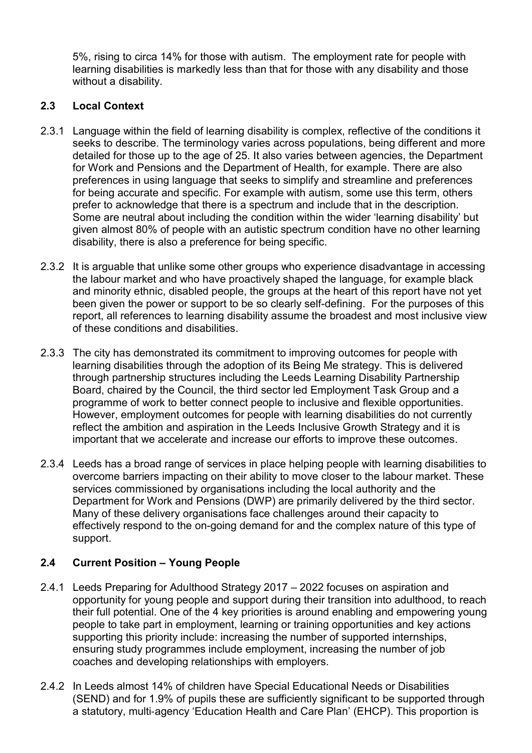5%, rising to circa 14% for those with autism. The employment rate for people with learning disabilities is markedly less than that for those with any disability and those without a disability.

## 2.3 Local Context

- 2.3.1 Language within the field of learning disability is complex, reflective of the conditions it seeks to describe. The terminology varies across populations, being different and more detailed for those up to the age of 25. It also varies between agencies, the Department for Work and Pensions and the Department of Health, for example. There are also preferences in using language that seeks to simplify and streamline and preferences for being accurate and specific. For example with autism, some use this term, others prefer to acknowledge that there is a spectrum and include that in the description. Some are neutral about including the condition within the wider 'learning disability' but given almost 80% of people with an autistic spectrum condition have no other learning disability, there is also a preference for being specific.
- 2.3.2 It is arguable that unlike some other groups who experience disadvantage in accessing the labour market and who have proactively shaped the language, for example black and minority ethnic, disabled people, the groups at the heart of this report have not yet been given the power or support to be so clearly self-defining. For the purposes of this report, all references to learning disability assume the broadest and most inclusive view of these conditions and disabilities.
- 2.3.3 The city has demonstrated its commitment to improving outcomes for people with learning disabilities through the adoption of its Being Me strategy. This is delivered through partnership structures including the Leeds Learning Disability Partnership Board, chaired by the Council, the third sector led Employment Task Group and a programme of work to better connect people to inclusive and flexible opportunities. However, employment outcomes for people with learning disabilities do not currently reflect the ambition and aspiration in the Leeds Inclusive Growth Strategy and it is important that we accelerate and increase our efforts to improve these outcomes.
- 2.3.4 Leeds has a broad range of services in place helping people with learning disabilities to overcome barriers impacting on their ability to move closer to the labour market. These services commissioned by organisations including the local authority and the Department for Work and Pensions (DWP) are primarily delivered by the third sector. Many of these delivery organisations face challenges around their capacity to effectively respond to the on-going demand for and the complex nature of this type of support.

# 2.4 Current Position – Young People

- 2.4.1 Leeds Preparing for Adulthood Strategy 2017 2022 focuses on aspiration and opportunity for young people and support during their transition into adulthood, to reach their full potential. One of the 4 key priorities is around enabling and empowering young people to take part in employment, learning or training opportunities and key actions supporting this priority include: increasing the number of supported internships, ensuring study programmes include employment, increasing the number of job coaches and developing relationships with employers.
- 2.4.2 In Leeds almost 14% of children have Special Educational Needs or Disabilities (SEND) and for 1.9% of pupils these are sufficiently significant to be supported through a statutory, multi‐agency 'Education Health and Care Plan' (EHCP). This proportion is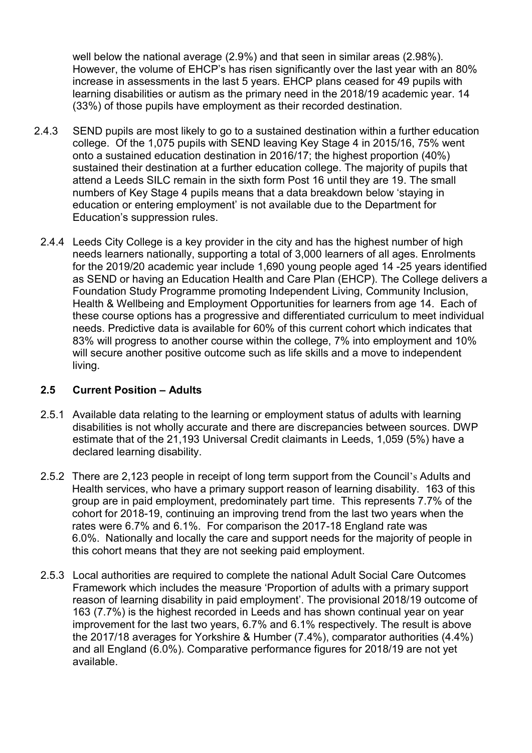well below the national average (2.9%) and that seen in similar areas (2.98%). However, the volume of EHCP's has risen significantly over the last year with an 80% increase in assessments in the last 5 years. EHCP plans ceased for 49 pupils with learning disabilities or autism as the primary need in the 2018/19 academic year. 14 (33%) of those pupils have employment as their recorded destination.

- 2.4.3 SEND pupils are most likely to go to a sustained destination within a further education college. Of the 1,075 pupils with SEND leaving Key Stage 4 in 2015/16, 75% went onto a sustained education destination in 2016/17; the highest proportion (40%) sustained their destination at a further education college. The majority of pupils that attend a Leeds SILC remain in the sixth form Post 16 until they are 19. The small numbers of Key Stage 4 pupils means that a data breakdown below 'staying in education or entering employment' is not available due to the Department for Education's suppression rules.
	- 2.4.4 Leeds City College is a key provider in the city and has the highest number of high needs learners nationally, supporting a total of 3,000 learners of all ages. Enrolments for the 2019/20 academic year include 1,690 young people aged 14 -25 years identified as SEND or having an Education Health and Care Plan (EHCP). The College delivers a Foundation Study Programme promoting Independent Living, Community Inclusion, Health & Wellbeing and Employment Opportunities for learners from age 14. Each of these course options has a progressive and differentiated curriculum to meet individual needs. Predictive data is available for 60% of this current cohort which indicates that 83% will progress to another course within the college, 7% into employment and 10% will secure another positive outcome such as life skills and a move to independent living.

### 2.5 Current Position – Adults

- 2.5.1 Available data relating to the learning or employment status of adults with learning disabilities is not wholly accurate and there are discrepancies between sources. DWP estimate that of the 21,193 Universal Credit claimants in Leeds, 1,059 (5%) have a declared learning disability.
- 2.5.2 There are 2,123 people in receipt of long term support from the Council's Adults and Health services, who have a primary support reason of learning disability. 163 of this group are in paid employment, predominately part time. This represents 7.7% of the cohort for 2018-19, continuing an improving trend from the last two years when the rates were 6.7% and 6.1%. For comparison the 2017-18 England rate was 6.0%. Nationally and locally the care and support needs for the majority of people in this cohort means that they are not seeking paid employment.
- 2.5.3 Local authorities are required to complete the national Adult Social Care Outcomes Framework which includes the measure 'Proportion of adults with a primary support reason of learning disability in paid employment'. The provisional 2018/19 outcome of 163 (7.7%) is the highest recorded in Leeds and has shown continual year on year improvement for the last two years, 6.7% and 6.1% respectively. The result is above the 2017/18 averages for Yorkshire & Humber (7.4%), comparator authorities (4.4%) and all England (6.0%). Comparative performance figures for 2018/19 are not yet available.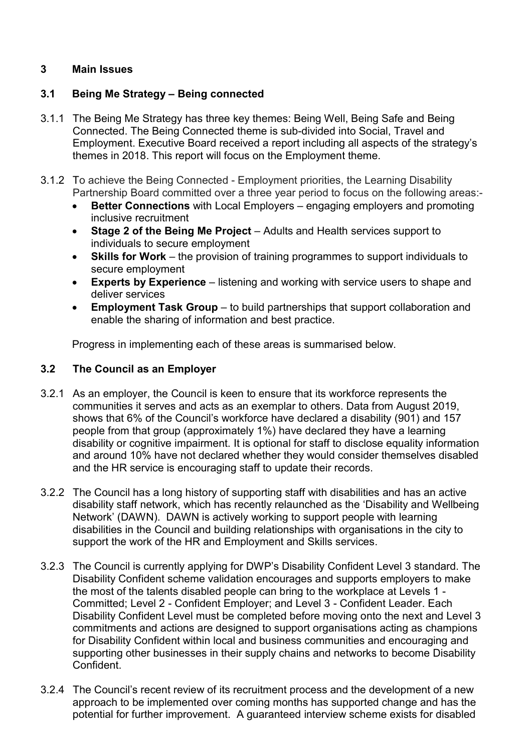## 3 Main Issues

### 3.1 Being Me Strategy – Being connected

- 3.1.1 The Being Me Strategy has three key themes: Being Well, Being Safe and Being Connected. The Being Connected theme is sub-divided into Social, Travel and Employment. Executive Board received a report including all aspects of the strategy's themes in 2018. This report will focus on the Employment theme.
- 3.1.2 To achieve the Being Connected Employment priorities, the Learning Disability Partnership Board committed over a three year period to focus on the following areas:-
	- Better Connections with Local Employers engaging employers and promoting inclusive recruitment
	- Stage 2 of the Being Me Project Adults and Health services support to individuals to secure employment
	- Skills for Work the provision of training programmes to support individuals to secure employment
	- **Experts by Experience** listening and working with service users to shape and deliver services
	- **Employment Task Group** to build partnerships that support collaboration and enable the sharing of information and best practice.

Progress in implementing each of these areas is summarised below.

#### 3.2 The Council as an Employer

- 3.2.1 As an employer, the Council is keen to ensure that its workforce represents the communities it serves and acts as an exemplar to others. Data from August 2019, shows that 6% of the Council's workforce have declared a disability (901) and 157 people from that group (approximately 1%) have declared they have a learning disability or cognitive impairment. It is optional for staff to disclose equality information and around 10% have not declared whether they would consider themselves disabled and the HR service is encouraging staff to update their records.
- 3.2.2 The Council has a long history of supporting staff with disabilities and has an active disability staff network, which has recently relaunched as the 'Disability and Wellbeing Network' (DAWN). DAWN is actively working to support people with learning disabilities in the Council and building relationships with organisations in the city to support the work of the HR and Employment and Skills services.
- 3.2.3 The Council is currently applying for DWP's Disability Confident Level 3 standard. The Disability Confident scheme validation encourages and supports employers to make the most of the talents disabled people can bring to the workplace at Levels 1 - Committed; Level 2 - Confident Employer; and Level 3 - Confident Leader. Each Disability Confident Level must be completed before moving onto the next and Level 3 commitments and actions are designed to support organisations acting as champions for Disability Confident within local and business communities and encouraging and supporting other businesses in their supply chains and networks to become Disability Confident.
- 3.2.4 The Council's recent review of its recruitment process and the development of a new approach to be implemented over coming months has supported change and has the potential for further improvement. A guaranteed interview scheme exists for disabled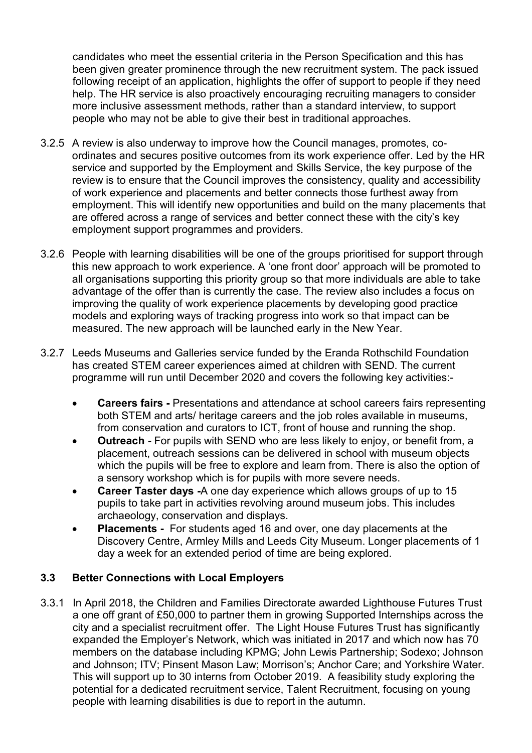candidates who meet the essential criteria in the Person Specification and this has been given greater prominence through the new recruitment system. The pack issued following receipt of an application, highlights the offer of support to people if they need help. The HR service is also proactively encouraging recruiting managers to consider more inclusive assessment methods, rather than a standard interview, to support people who may not be able to give their best in traditional approaches.

- 3.2.5 A review is also underway to improve how the Council manages, promotes, coordinates and secures positive outcomes from its work experience offer. Led by the HR service and supported by the Employment and Skills Service, the key purpose of the review is to ensure that the Council improves the consistency, quality and accessibility of work experience and placements and better connects those furthest away from employment. This will identify new opportunities and build on the many placements that are offered across a range of services and better connect these with the city's key employment support programmes and providers.
- 3.2.6 People with learning disabilities will be one of the groups prioritised for support through this new approach to work experience. A 'one front door' approach will be promoted to all organisations supporting this priority group so that more individuals are able to take advantage of the offer than is currently the case. The review also includes a focus on improving the quality of work experience placements by developing good practice models and exploring ways of tracking progress into work so that impact can be measured. The new approach will be launched early in the New Year.
- 3.2.7 Leeds Museums and Galleries service funded by the Eranda Rothschild Foundation has created STEM career experiences aimed at children with SEND. The current programme will run until December 2020 and covers the following key activities:-
	- Careers fairs Presentations and attendance at school careers fairs representing both STEM and arts/ heritage careers and the job roles available in museums, from conservation and curators to ICT, front of house and running the shop.
	- Outreach For pupils with SEND who are less likely to enjoy, or benefit from, a placement, outreach sessions can be delivered in school with museum objects which the pupils will be free to explore and learn from. There is also the option of a sensory workshop which is for pupils with more severe needs.
	- Career Taster days -A one day experience which allows groups of up to 15 pupils to take part in activities revolving around museum jobs. This includes archaeology, conservation and displays.
	- Placements For students aged 16 and over, one day placements at the Discovery Centre, Armley Mills and Leeds City Museum. Longer placements of 1 day a week for an extended period of time are being explored.

### 3.3 Better Connections with Local Employers

3.3.1 In April 2018, the Children and Families Directorate awarded Lighthouse Futures Trust a one off grant of £50,000 to partner them in growing Supported Internships across the city and a specialist recruitment offer. The Light House Futures Trust has significantly expanded the Employer's Network, which was initiated in 2017 and which now has 70 members on the database including KPMG; John Lewis Partnership; Sodexo; Johnson and Johnson; ITV; Pinsent Mason Law; Morrison's; Anchor Care; and Yorkshire Water. This will support up to 30 interns from October 2019. A feasibility study exploring the potential for a dedicated recruitment service, Talent Recruitment, focusing on young people with learning disabilities is due to report in the autumn.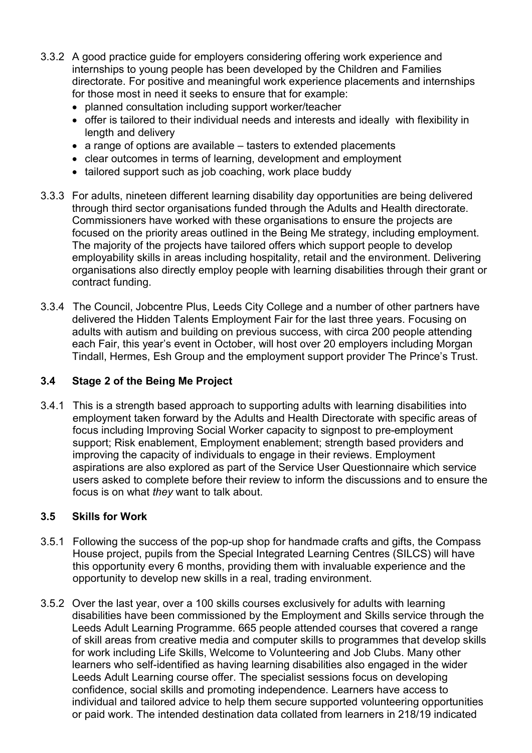- 3.3.2 A good practice guide for employers considering offering work experience and internships to young people has been developed by the Children and Families directorate. For positive and meaningful work experience placements and internships for those most in need it seeks to ensure that for example:
	- planned consultation including support worker/teacher
	- offer is tailored to their individual needs and interests and ideally with flexibility in length and delivery
	- a range of options are available tasters to extended placements
	- clear outcomes in terms of learning, development and employment
	- tailored support such as job coaching, work place buddy
- 3.3.3 For adults, nineteen different learning disability day opportunities are being delivered through third sector organisations funded through the Adults and Health directorate. Commissioners have worked with these organisations to ensure the projects are focused on the priority areas outlined in the Being Me strategy, including employment. The majority of the projects have tailored offers which support people to develop employability skills in areas including hospitality, retail and the environment. Delivering organisations also directly employ people with learning disabilities through their grant or contract funding.
- 3.3.4 The Council, Jobcentre Plus, Leeds City College and a number of other partners have delivered the Hidden Talents Employment Fair for the last three years. Focusing on adults with autism and building on previous success, with circa 200 people attending each Fair, this year's event in October, will host over 20 employers including Morgan Tindall, Hermes, Esh Group and the employment support provider The Prince's Trust.

#### 3.4 Stage 2 of the Being Me Project

3.4.1 This is a strength based approach to supporting adults with learning disabilities into employment taken forward by the Adults and Health Directorate with specific areas of focus including Improving Social Worker capacity to signpost to pre-employment support; Risk enablement, Employment enablement; strength based providers and improving the capacity of individuals to engage in their reviews. Employment aspirations are also explored as part of the Service User Questionnaire which service users asked to complete before their review to inform the discussions and to ensure the focus is on what they want to talk about.

### 3.5 Skills for Work

- 3.5.1 Following the success of the pop-up shop for handmade crafts and gifts, the Compass House project, pupils from the Special Integrated Learning Centres (SILCS) will have this opportunity every 6 months, providing them with invaluable experience and the opportunity to develop new skills in a real, trading environment.
- 3.5.2 Over the last year, over a 100 skills courses exclusively for adults with learning disabilities have been commissioned by the Employment and Skills service through the Leeds Adult Learning Programme. 665 people attended courses that covered a range of skill areas from creative media and computer skills to programmes that develop skills for work including Life Skills, Welcome to Volunteering and Job Clubs. Many other learners who self-identified as having learning disabilities also engaged in the wider Leeds Adult Learning course offer. The specialist sessions focus on developing confidence, social skills and promoting independence. Learners have access to individual and tailored advice to help them secure supported volunteering opportunities or paid work. The intended destination data collated from learners in 218/19 indicated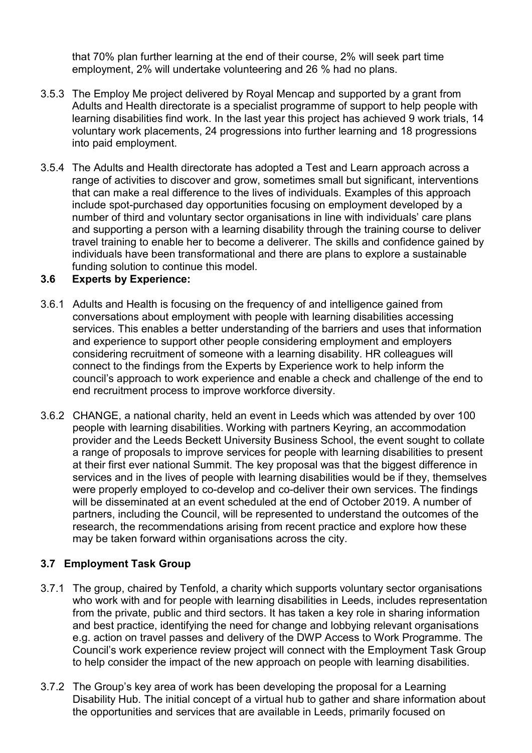that 70% plan further learning at the end of their course, 2% will seek part time employment, 2% will undertake volunteering and 26 % had no plans.

- 3.5.3 The Employ Me project delivered by Royal Mencap and supported by a grant from Adults and Health directorate is a specialist programme of support to help people with learning disabilities find work. In the last year this project has achieved 9 work trials, 14 voluntary work placements, 24 progressions into further learning and 18 progressions into paid employment.
- 3.5.4 The Adults and Health directorate has adopted a Test and Learn approach across a range of activities to discover and grow, sometimes small but significant, interventions that can make a real difference to the lives of individuals. Examples of this approach include spot-purchased day opportunities focusing on employment developed by a number of third and voluntary sector organisations in line with individuals' care plans and supporting a person with a learning disability through the training course to deliver travel training to enable her to become a deliverer. The skills and confidence gained by individuals have been transformational and there are plans to explore a sustainable funding solution to continue this model.

### 3.6 Experts by Experience:

- 3.6.1 Adults and Health is focusing on the frequency of and intelligence gained from conversations about employment with people with learning disabilities accessing services. This enables a better understanding of the barriers and uses that information and experience to support other people considering employment and employers considering recruitment of someone with a learning disability. HR colleagues will connect to the findings from the Experts by Experience work to help inform the council's approach to work experience and enable a check and challenge of the end to end recruitment process to improve workforce diversity.
- 3.6.2 CHANGE, a national charity, held an event in Leeds which was attended by over 100 people with learning disabilities. Working with partners Keyring, an accommodation provider and the Leeds Beckett University Business School, the event sought to collate a range of proposals to improve services for people with learning disabilities to present at their first ever national Summit. The key proposal was that the biggest difference in services and in the lives of people with learning disabilities would be if they, themselves were properly employed to co-develop and co-deliver their own services. The findings will be disseminated at an event scheduled at the end of October 2019. A number of partners, including the Council, will be represented to understand the outcomes of the research, the recommendations arising from recent practice and explore how these may be taken forward within organisations across the city.

# 3.7 Employment Task Group

- 3.7.1 The group, chaired by Tenfold, a charity which supports voluntary sector organisations who work with and for people with learning disabilities in Leeds, includes representation from the private, public and third sectors. It has taken a key role in sharing information and best practice, identifying the need for change and lobbying relevant organisations e.g. action on travel passes and delivery of the DWP Access to Work Programme. The Council's work experience review project will connect with the Employment Task Group to help consider the impact of the new approach on people with learning disabilities.
- 3.7.2 The Group's key area of work has been developing the proposal for a Learning Disability Hub. The initial concept of a virtual hub to gather and share information about the opportunities and services that are available in Leeds, primarily focused on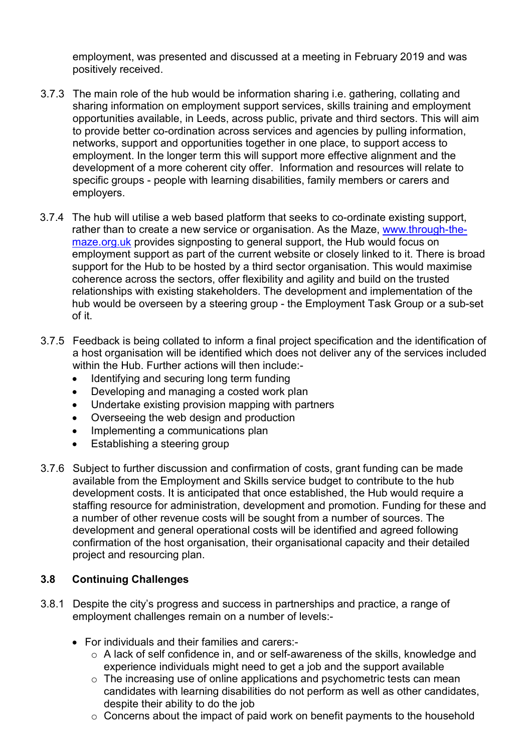employment, was presented and discussed at a meeting in February 2019 and was positively received.

- 3.7.3 The main role of the hub would be information sharing i.e. gathering, collating and sharing information on employment support services, skills training and employment opportunities available, in Leeds, across public, private and third sectors. This will aim to provide better co-ordination across services and agencies by pulling information, networks, support and opportunities together in one place, to support access to employment. In the longer term this will support more effective alignment and the development of a more coherent city offer. Information and resources will relate to specific groups - people with learning disabilities, family members or carers and employers.
- 3.7.4 The hub will utilise a web based platform that seeks to co-ordinate existing support, rather than to create a new service or organisation. As the Maze, www.through-themaze.org.uk provides signposting to general support, the Hub would focus on employment support as part of the current website or closely linked to it. There is broad support for the Hub to be hosted by a third sector organisation. This would maximise coherence across the sectors, offer flexibility and agility and build on the trusted relationships with existing stakeholders. The development and implementation of the hub would be overseen by a steering group - the Employment Task Group or a sub-set of it.
- 3.7.5 Feedback is being collated to inform a final project specification and the identification of a host organisation will be identified which does not deliver any of the services included within the Hub. Further actions will then include:-
	- Identifying and securing long term funding
	- Developing and managing a costed work plan
	- Undertake existing provision mapping with partners
	- Overseeing the web design and production
	- Implementing a communications plan
	- Establishing a steering group
- 3.7.6 Subject to further discussion and confirmation of costs, grant funding can be made available from the Employment and Skills service budget to contribute to the hub development costs. It is anticipated that once established, the Hub would require a staffing resource for administration, development and promotion. Funding for these and a number of other revenue costs will be sought from a number of sources. The development and general operational costs will be identified and agreed following confirmation of the host organisation, their organisational capacity and their detailed project and resourcing plan.

# 3.8 Continuing Challenges

- 3.8.1 Despite the city's progress and success in partnerships and practice, a range of employment challenges remain on a number of levels:-
	- For individuals and their families and carers:
		- o A lack of self confidence in, and or self-awareness of the skills, knowledge and experience individuals might need to get a job and the support available
		- o The increasing use of online applications and psychometric tests can mean candidates with learning disabilities do not perform as well as other candidates, despite their ability to do the job
		- $\circ$  Concerns about the impact of paid work on benefit payments to the household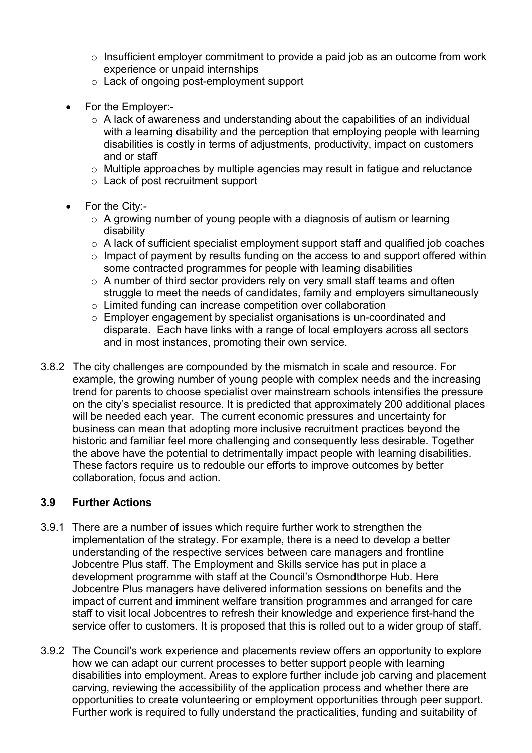- o Insufficient employer commitment to provide a paid job as an outcome from work experience or unpaid internships
- o Lack of ongoing post-employment support
- For the Employer:-
	- $\circ$  A lack of awareness and understanding about the capabilities of an individual with a learning disability and the perception that employing people with learning disabilities is costly in terms of adjustments, productivity, impact on customers and or staff
	- $\circ$  Multiple approaches by multiple agencies may result in fatigue and reluctance
	- o Lack of post recruitment support
- For the City:
	- o A growing number of young people with a diagnosis of autism or learning disability
	- o A lack of sufficient specialist employment support staff and qualified job coaches
	- $\circ$  Impact of payment by results funding on the access to and support offered within some contracted programmes for people with learning disabilities
	- $\circ$  A number of third sector providers rely on very small staff teams and often struggle to meet the needs of candidates, family and employers simultaneously
	- o Limited funding can increase competition over collaboration
	- o Employer engagement by specialist organisations is un-coordinated and disparate. Each have links with a range of local employers across all sectors and in most instances, promoting their own service.
- 3.8.2 The city challenges are compounded by the mismatch in scale and resource. For example, the growing number of young people with complex needs and the increasing trend for parents to choose specialist over mainstream schools intensifies the pressure on the city's specialist resource. It is predicted that approximately 200 additional places will be needed each year. The current economic pressures and uncertainty for business can mean that adopting more inclusive recruitment practices beyond the historic and familiar feel more challenging and consequently less desirable. Together the above have the potential to detrimentally impact people with learning disabilities. These factors require us to redouble our efforts to improve outcomes by better collaboration, focus and action.

#### 3.9 Further Actions

- 3.9.1 There are a number of issues which require further work to strengthen the implementation of the strategy. For example, there is a need to develop a better understanding of the respective services between care managers and frontline Jobcentre Plus staff. The Employment and Skills service has put in place a development programme with staff at the Council's Osmondthorpe Hub. Here Jobcentre Plus managers have delivered information sessions on benefits and the impact of current and imminent welfare transition programmes and arranged for care staff to visit local Jobcentres to refresh their knowledge and experience first-hand the service offer to customers. It is proposed that this is rolled out to a wider group of staff.
- 3.9.2 The Council's work experience and placements review offers an opportunity to explore how we can adapt our current processes to better support people with learning disabilities into employment. Areas to explore further include job carving and placement carving, reviewing the accessibility of the application process and whether there are opportunities to create volunteering or employment opportunities through peer support. Further work is required to fully understand the practicalities, funding and suitability of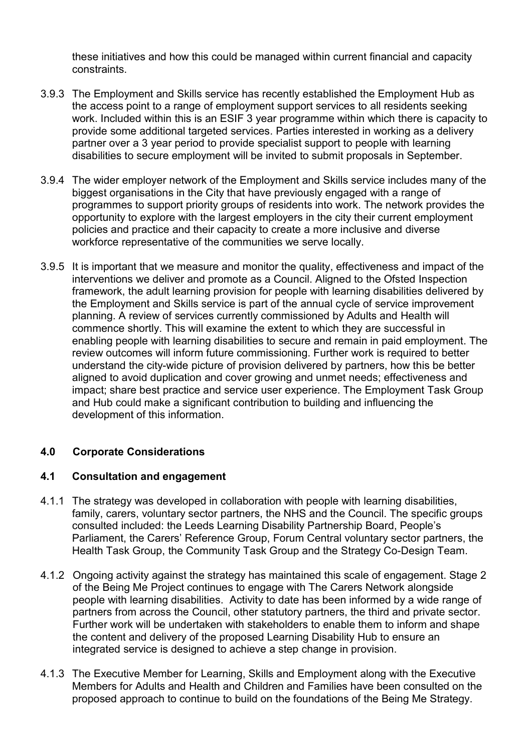these initiatives and how this could be managed within current financial and capacity constraints.

- 3.9.3 The Employment and Skills service has recently established the Employment Hub as the access point to a range of employment support services to all residents seeking work. Included within this is an ESIF 3 year programme within which there is capacity to provide some additional targeted services. Parties interested in working as a delivery partner over a 3 year period to provide specialist support to people with learning disabilities to secure employment will be invited to submit proposals in September.
- 3.9.4 The wider employer network of the Employment and Skills service includes many of the biggest organisations in the City that have previously engaged with a range of programmes to support priority groups of residents into work. The network provides the opportunity to explore with the largest employers in the city their current employment policies and practice and their capacity to create a more inclusive and diverse workforce representative of the communities we serve locally.
- 3.9.5 It is important that we measure and monitor the quality, effectiveness and impact of the interventions we deliver and promote as a Council. Aligned to the Ofsted Inspection framework, the adult learning provision for people with learning disabilities delivered by the Employment and Skills service is part of the annual cycle of service improvement planning. A review of services currently commissioned by Adults and Health will commence shortly. This will examine the extent to which they are successful in enabling people with learning disabilities to secure and remain in paid employment. The review outcomes will inform future commissioning. Further work is required to better understand the city-wide picture of provision delivered by partners, how this be better aligned to avoid duplication and cover growing and unmet needs; effectiveness and impact; share best practice and service user experience. The Employment Task Group and Hub could make a significant contribution to building and influencing the development of this information.

### 4.0 Corporate Considerations

### 4.1 Consultation and engagement

- 4.1.1 The strategy was developed in collaboration with people with learning disabilities, family, carers, voluntary sector partners, the NHS and the Council. The specific groups consulted included: the Leeds Learning Disability Partnership Board, People's Parliament, the Carers' Reference Group, Forum Central voluntary sector partners, the Health Task Group, the Community Task Group and the Strategy Co-Design Team.
- 4.1.2 Ongoing activity against the strategy has maintained this scale of engagement. Stage 2 of the Being Me Project continues to engage with The Carers Network alongside people with learning disabilities. Activity to date has been informed by a wide range of partners from across the Council, other statutory partners, the third and private sector. Further work will be undertaken with stakeholders to enable them to inform and shape the content and delivery of the proposed Learning Disability Hub to ensure an integrated service is designed to achieve a step change in provision.
- 4.1.3 The Executive Member for Learning, Skills and Employment along with the Executive Members for Adults and Health and Children and Families have been consulted on the proposed approach to continue to build on the foundations of the Being Me Strategy.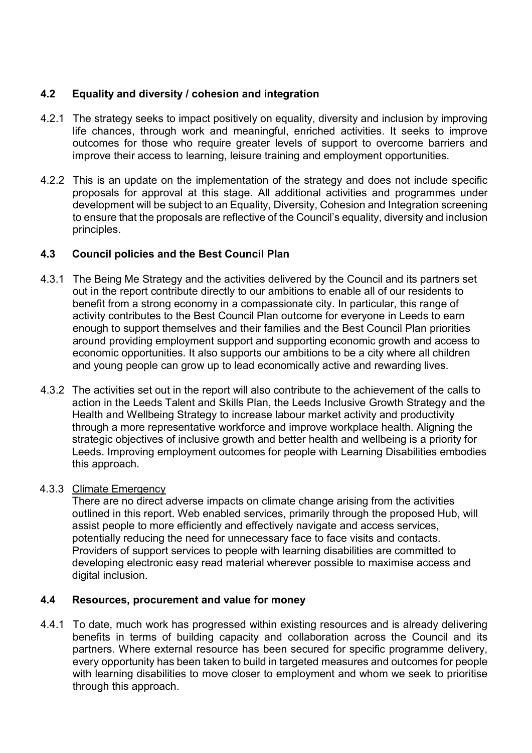## 4.2 Equality and diversity / cohesion and integration

- 4.2.1 The strategy seeks to impact positively on equality, diversity and inclusion by improving life chances, through work and meaningful, enriched activities. It seeks to improve outcomes for those who require greater levels of support to overcome barriers and improve their access to learning, leisure training and employment opportunities.
- 4.2.2 This is an update on the implementation of the strategy and does not include specific proposals for approval at this stage. All additional activities and programmes under development will be subject to an Equality, Diversity, Cohesion and Integration screening to ensure that the proposals are reflective of the Council's equality, diversity and inclusion principles.

### 4.3 Council policies and the Best Council Plan

- 4.3.1 The Being Me Strategy and the activities delivered by the Council and its partners set out in the report contribute directly to our ambitions to enable all of our residents to benefit from a strong economy in a compassionate city. In particular, this range of activity contributes to the Best Council Plan outcome for everyone in Leeds to earn enough to support themselves and their families and the Best Council Plan priorities around providing employment support and supporting economic growth and access to economic opportunities. It also supports our ambitions to be a city where all children and young people can grow up to lead economically active and rewarding lives.
- 4.3.2 The activities set out in the report will also contribute to the achievement of the calls to action in the Leeds Talent and Skills Plan, the Leeds Inclusive Growth Strategy and the Health and Wellbeing Strategy to increase labour market activity and productivity through a more representative workforce and improve workplace health. Aligning the strategic objectives of inclusive growth and better health and wellbeing is a priority for Leeds. Improving employment outcomes for people with Learning Disabilities embodies this approach.

### 4.3.3 Climate Emergency

There are no direct adverse impacts on climate change arising from the activities outlined in this report. Web enabled services, primarily through the proposed Hub, will assist people to more efficiently and effectively navigate and access services, potentially reducing the need for unnecessary face to face visits and contacts. Providers of support services to people with learning disabilities are committed to developing electronic easy read material wherever possible to maximise access and digital inclusion.

### 4.4 Resources, procurement and value for money

4.4.1 To date, much work has progressed within existing resources and is already delivering benefits in terms of building capacity and collaboration across the Council and its partners. Where external resource has been secured for specific programme delivery, every opportunity has been taken to build in targeted measures and outcomes for people with learning disabilities to move closer to employment and whom we seek to prioritise through this approach.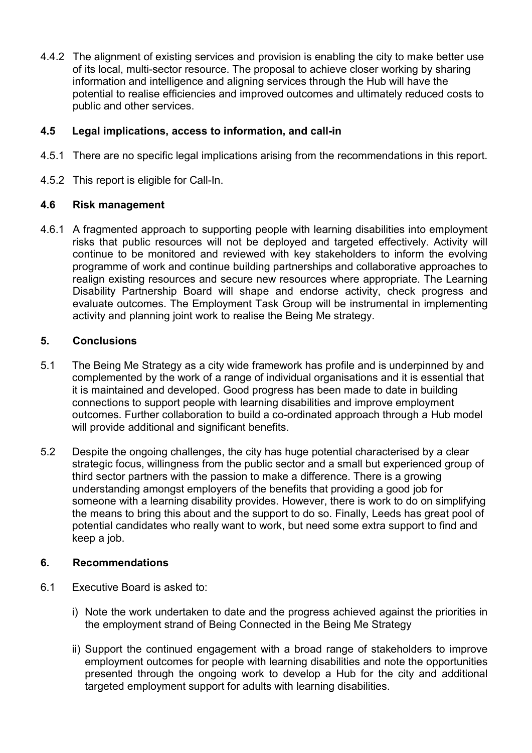4.4.2 The alignment of existing services and provision is enabling the city to make better use of its local, multi-sector resource. The proposal to achieve closer working by sharing information and intelligence and aligning services through the Hub will have the potential to realise efficiencies and improved outcomes and ultimately reduced costs to public and other services.

## 4.5 Legal implications, access to information, and call-in

- 4.5.1 There are no specific legal implications arising from the recommendations in this report.
- 4.5.2 This report is eligible for Call-In.

#### 4.6 Risk management

4.6.1 A fragmented approach to supporting people with learning disabilities into employment risks that public resources will not be deployed and targeted effectively. Activity will continue to be monitored and reviewed with key stakeholders to inform the evolving programme of work and continue building partnerships and collaborative approaches to realign existing resources and secure new resources where appropriate. The Learning Disability Partnership Board will shape and endorse activity, check progress and evaluate outcomes. The Employment Task Group will be instrumental in implementing activity and planning joint work to realise the Being Me strategy.

#### 5. Conclusions

- 5.1 The Being Me Strategy as a city wide framework has profile and is underpinned by and complemented by the work of a range of individual organisations and it is essential that it is maintained and developed. Good progress has been made to date in building connections to support people with learning disabilities and improve employment outcomes. Further collaboration to build a co-ordinated approach through a Hub model will provide additional and significant benefits.
- 5.2 Despite the ongoing challenges, the city has huge potential characterised by a clear strategic focus, willingness from the public sector and a small but experienced group of third sector partners with the passion to make a difference. There is a growing understanding amongst employers of the benefits that providing a good job for someone with a learning disability provides. However, there is work to do on simplifying the means to bring this about and the support to do so. Finally, Leeds has great pool of potential candidates who really want to work, but need some extra support to find and keep a job.

### 6. Recommendations

- 6.1 Executive Board is asked to:
	- i) Note the work undertaken to date and the progress achieved against the priorities in the employment strand of Being Connected in the Being Me Strategy
	- ii) Support the continued engagement with a broad range of stakeholders to improve employment outcomes for people with learning disabilities and note the opportunities presented through the ongoing work to develop a Hub for the city and additional targeted employment support for adults with learning disabilities.